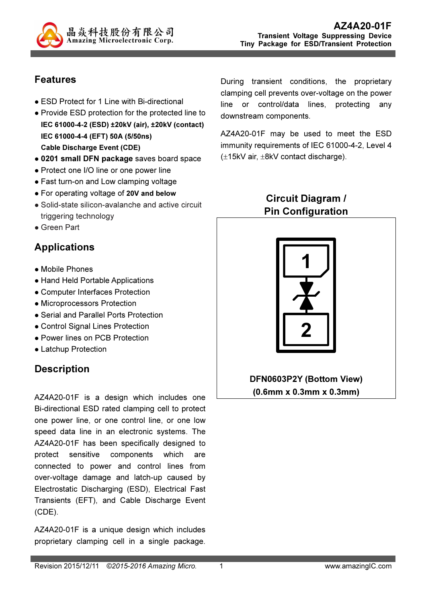

### Features

- ESD Protect for 1 Line with Bi-directional
- Provide ESD protection for the protected line to IEC 61000-4-2 (ESD) ±20kV (air), ±20kV (contact) IEC 61000-4-4 (EFT) 50A (5/50ns) Cable Discharge Event (CDE)
- 0201 small DFN package saves board space
- Protect one I/O line or one power line
- Fast turn-on and Low clamping voltage
- For operating voltage of 20V and below
- Solid-state silicon-avalanche and active circuit triggering technology
- Green Part

# Applications

- Mobile Phones
- Hand Held Portable Applications
- Computer Interfaces Protection
- Microprocessors Protection
- Serial and Parallel Ports Protection
- Control Signal Lines Protection
- Power lines on PCB Protection
- Latchup Protection

# **Description**

AZ4A20-01F is a design which includes one Bi-directional ESD rated clamping cell to protect one power line, or one control line, or one low speed data line in an electronic systems. The AZ4A20-01F has been specifically designed to protect sensitive components which are connected to power and control lines from over-voltage damage and latch-up caused by Electrostatic Discharging (ESD), Electrical Fast Transients (EFT), and Cable Discharge Event (CDE).

AZ4A20-01F is a unique design which includes proprietary clamping cell in a single package. During transient conditions, the proprietary clamping cell prevents over-voltage on the power line or control/data lines, protecting any downstream components.

AZ4A20-01F may be used to meet the ESD immunity requirements of IEC 61000-4-2, Level 4 (±15kV air, ±8kV contact discharge).

#### Circuit Diagram / Pin Configuration



DFN0603P2Y (Bottom View) (0.6mm x 0.3mm x 0.3mm)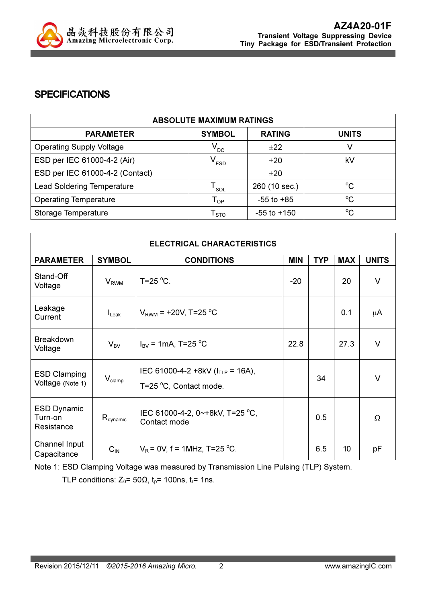

#### **SPECIFICATIONS**

| <b>ABSOLUTE MAXIMUM RATINGS</b>   |                            |                 |              |
|-----------------------------------|----------------------------|-----------------|--------------|
| <b>PARAMETER</b>                  | <b>SYMBOL</b>              | <b>RATING</b>   | <b>UNITS</b> |
| <b>Operating Supply Voltage</b>   | $V_{DC}$                   | ±22             |              |
| ESD per IEC 61000-4-2 (Air)       | $V_{ESD}$                  | ±20             | kV           |
| ESD per IEC 61000-4-2 (Contact)   |                            | ±20             |              |
| <b>Lead Soldering Temperature</b> | SOL                        | 260 (10 sec.)   | $^{\circ}$ C |
| <b>Operating Temperature</b>      | $\mathsf{T}_{\mathsf{OP}}$ | $-55$ to $+85$  | $^{\circ}C$  |
| Storage Temperature               | ${\sf T}_{\text{STO}}$     | $-55$ to $+150$ | $^{\circ}C$  |

| <b>ELECTRICAL CHARACTERISTICS</b>           |                      |                                                                  |            |            |            |              |
|---------------------------------------------|----------------------|------------------------------------------------------------------|------------|------------|------------|--------------|
| <b>PARAMETER</b>                            | <b>SYMBOL</b>        | <b>CONDITIONS</b>                                                | <b>MIN</b> | <b>TYP</b> | <b>MAX</b> | <b>UNITS</b> |
| Stand-Off<br>Voltage                        | $V_{RWM}$            | T=25 $\degree$ C.                                                | $-20$      |            | 20         | $\vee$       |
| Leakage<br>Current                          | $I_{\text{Leak}}$    | $V_{RWM} = \pm 20V$ , T=25 °C                                    |            |            | 0.1        | μA           |
| <b>Breakdown</b><br>Voltage                 | $V_{BV}$             | $I_{BV}$ = 1mA, T=25 °C                                          | 22.8       |            | 27.3       | $\vee$       |
| <b>ESD Clamping</b><br>Voltage (Note 1)     | $V_{\text{clamp}}$   | IEC 61000-4-2 +8kV ( $I_{TLP}$ = 16A),<br>T=25 °C, Contact mode. |            | 34         |            | $\vee$       |
| <b>ESD Dynamic</b><br>Turn-on<br>Resistance | $R_{\text{dynamic}}$ | IEC 61000-4-2, 0~+8kV, T=25 °C,<br>Contact mode                  |            | 0.5        |            | $\Omega$     |
| Channel Input<br>Capacitance                | $C_{IN}$             | $V_R$ = 0V, f = 1MHz, T=25 °C.                                   |            | 6.5        | 10         | pF           |

Note 1: ESD Clamping Voltage was measured by Transmission Line Pulsing (TLP) System.

TLP conditions:  $Z_0$ = 50 $\Omega$ ,  $t_p$ = 100ns,  $t_r$ = 1ns.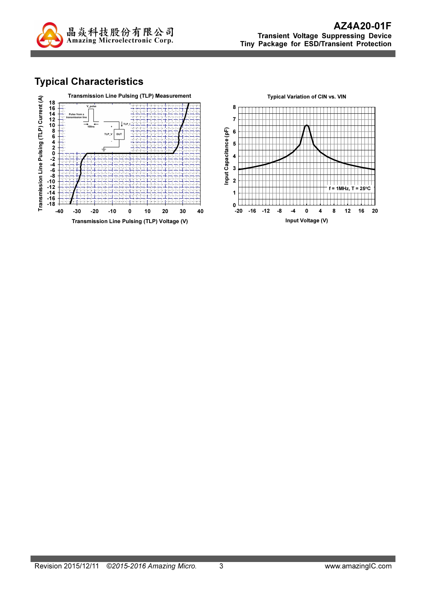

## Typical Characteristics

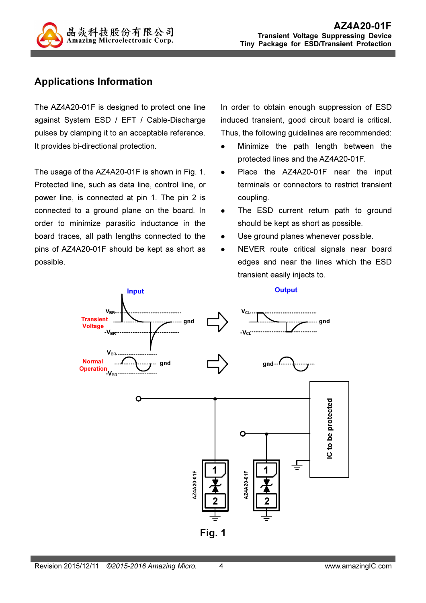

#### Applications Information

The AZ4A20-01F is designed to protect one line against System ESD / EFT / Cable-Discharge pulses by clamping it to an acceptable reference. It provides bi-directional protection.

The usage of the AZ4A20-01F is shown in Fig. 1. Protected line, such as data line, control line, or power line, is connected at pin 1. The pin 2 is connected to a ground plane on the board. In order to minimize parasitic inductance in the board traces, all path lengths connected to the pins of AZ4A20-01F should be kept as short as possible.

In order to obtain enough suppression of ESD induced transient, good circuit board is critical. Thus, the following guidelines are recommended:

- Minimize the path length between the protected lines and the AZ4A20-01F.
- Place the AZ4A20-01F near the input terminals or connectors to restrict transient coupling.
- The ESD current return path to ground should be kept as short as possible.
- Use ground planes whenever possible.
- NEVER route critical signals near board edges and near the lines which the ESD transient easily injects to.

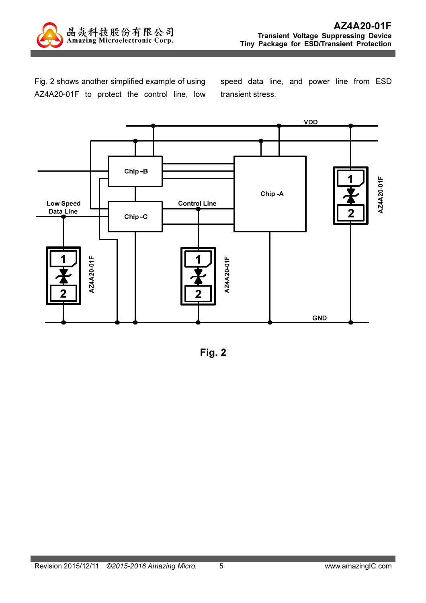

Fig. 2 shows another simplified example of using AZ4A20-01F to protect the control line, low speed data line, and power line from ESD transient stress.



Fig. 2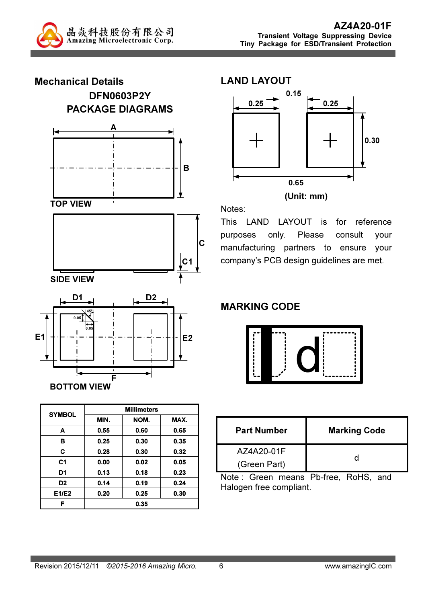



| <b>SYMBOL</b>  | <b>Millimeters</b> |      |      |  |  |
|----------------|--------------------|------|------|--|--|
|                | MIN.               | NOM. | MAX. |  |  |
| A              | 0.55               | 0.60 | 0.65 |  |  |
| в              | 0.25               | 0.30 | 0.35 |  |  |
| C              | 0.28               | 0.30 | 0.32 |  |  |
| C <sub>1</sub> | 0.00               | 0.02 | 0.05 |  |  |
| D1             | 0.13               | 0.18 | 0.23 |  |  |
| D <sub>2</sub> | 0.14               | 0.19 | 0.24 |  |  |
| E1/E2          | 0.20               | 0.25 | 0.30 |  |  |
| F              |                    | 0.35 |      |  |  |





0.65

Notes:

C

This LAND LAYOUT is for reference purposes only. Please consult your manufacturing partners to ensure your company's PCB design guidelines are met.

### MARKING CODE



| <b>Part Number</b> | <b>Marking Code</b> |  |
|--------------------|---------------------|--|
| AZ4A20-01F         |                     |  |
| (Green Part)       |                     |  |

Note : Green means Pb-free, RoHS, and Halogen free compliant.